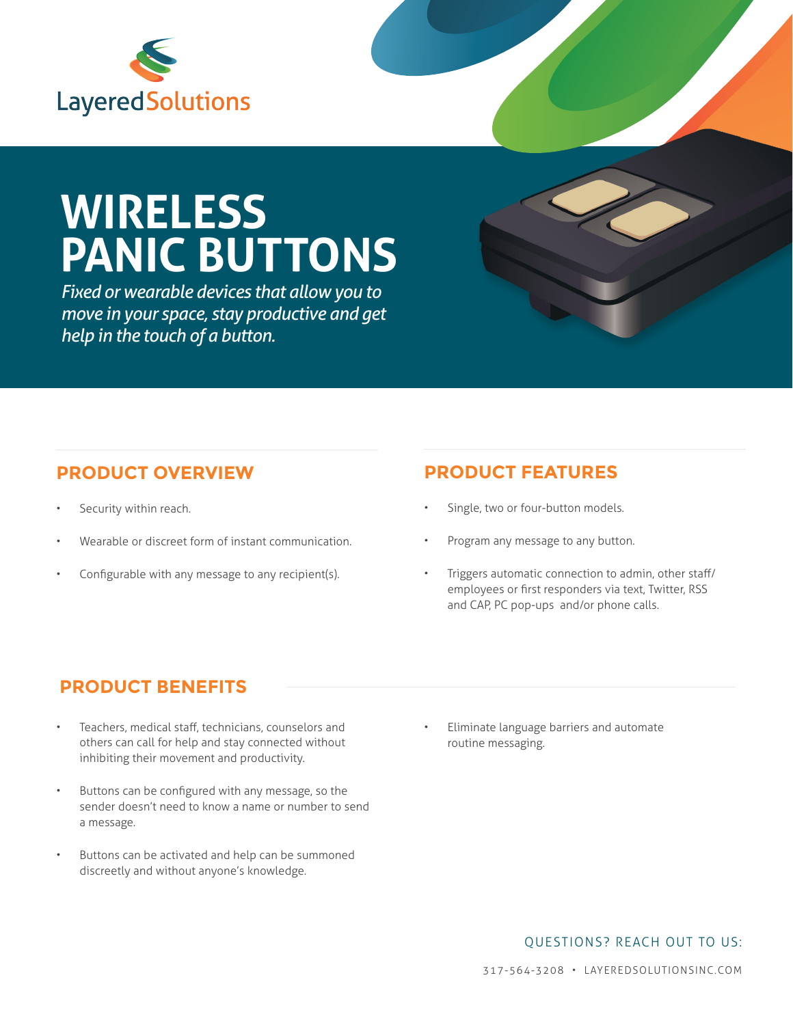

# **WIRELESS PANIC BUTTONS**

*Fixed or wearable devices that allow you to move in your space, stay productive and get help in the touch of a button.*

#### **PRODUCT OVERVIEW**

- Security within reach.
- Wearable or discreet form of instant communication.
- Configurable with any message to any recipient(s).

### **PRODUCT FEATURES**

- Single, two or four-button models.
- Program any message to any button.
- Triggers automatic connection to admin, other staff/ employees or first responders via text, Twitter, RSS and CAP, PC pop-ups and/or phone calls.

### **PRODUCT BENEFITS**

- Teachers, medical staff, technicians, counselors and others can call for help and stay connected without inhibiting their movement and productivity.
- Buttons can be configured with any message, so the sender doesn't need to know a name or number to send a message.
- Buttons can be activated and help can be summoned discreetly and without anyone's knowledge.

• Eliminate language barriers and automate routine messaging.